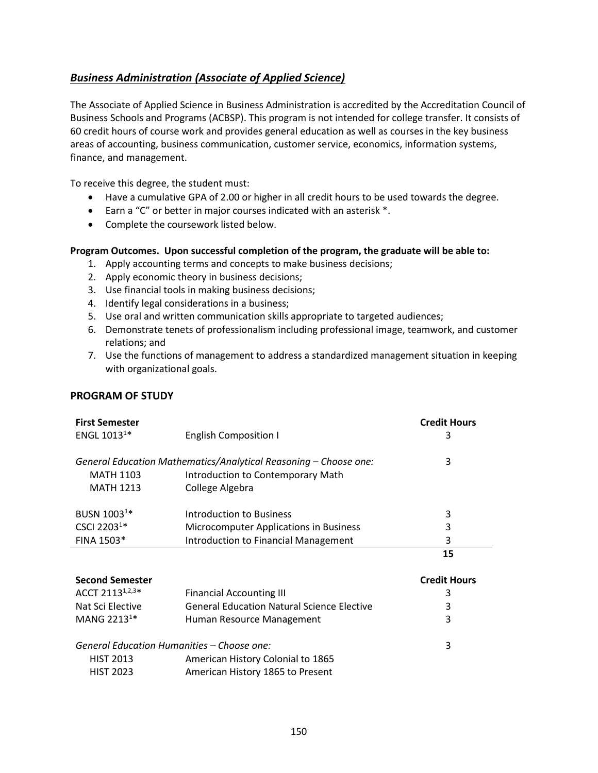## <span id="page-0-0"></span>*Business Administration [\(Associate of Applied Science\)](#page-0-0)*

The Associate of Applied Science in Business Administration is accredited by the Accreditation Council of Business Schools and Programs (ACBSP). This program is not intended for college transfer. It consists of 60 credit hours of course work and provides general education as well as courses in the key business areas of accounting, business communication, customer service, economics, information systems, finance, and management.

To receive this degree, the student must:

- Have a cumulative GPA of 2.00 or higher in all credit hours to be used towards the degree.
- Earn a "C" or better in major courses indicated with an asterisk \*.
- Complete the coursework listed below.

## **Program Outcomes. Upon successful completion of the program, the graduate will be able to:**

- 1. Apply accounting terms and concepts to make business decisions;
- 2. Apply economic theory in business decisions;
- 3. Use financial tools in making business decisions;
- 4. Identify legal considerations in a business;
- 5. Use oral and written communication skills appropriate to targeted audiences;
- 6. Demonstrate tenets of professionalism including professional image, teamwork, and customer relations; and
- 7. Use the functions of management to address a standardized management situation in keeping with organizational goals.

## **PROGRAM OF STUDY**

| <b>First Semester</b>   |                                                                  | <b>Credit Hours</b> |
|-------------------------|------------------------------------------------------------------|---------------------|
| ENGL 1013 <sup>1*</sup> | <b>English Composition I</b>                                     | 3                   |
|                         | General Education Mathematics/Analytical Reasoning – Choose one: | 3                   |
| <b>MATH 1103</b>        | Introduction to Contemporary Math                                |                     |
| <b>MATH 1213</b>        | College Algebra                                                  |                     |
| BUSN 1003 <sup>1*</sup> | Introduction to Business                                         | 3                   |
| CSCI 22031*             | Microcomputer Applications in Business                           | 3                   |
| FINA 1503*              | <b>Introduction to Financial Management</b>                      | 3                   |
|                         |                                                                  | 15                  |
|                         |                                                                  |                     |
| <b>Second Semester</b>  |                                                                  | <b>Credit Hours</b> |
| ACCT 21131,2,3*         | <b>Financial Accounting III</b>                                  | 3                   |
| Nat Sci Elective        | <b>General Education Natural Science Elective</b>                | 3                   |
| MANG 2213 <sup>1*</sup> | Human Resource Management                                        | 3                   |
|                         | General Education Humanities – Choose one:                       | 3                   |
| <b>HIST 2013</b>        | American History Colonial to 1865                                |                     |